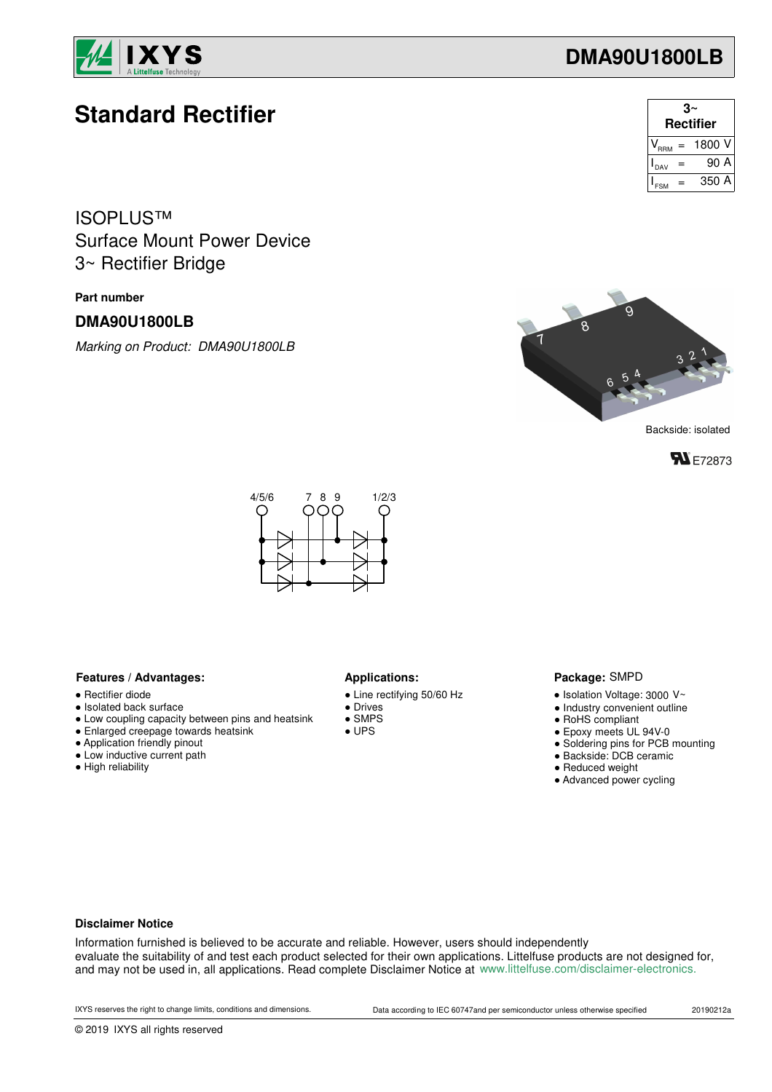

# **Standard Rectifier**

Surface Mount Power Device ISOPLUS™ 3~ Rectifier Bridge

### **Part number**

### **DMA90U1800LB**

*Marking on Product: DMA90U1800LB*





Backside: isolated





#### **Features / Advantages:** Applications:

- Rectifier diode
- Isolated back surface
- Low coupling capacity between pins and heatsink
- Enlarged creepage towards heatsink
- Application friendly pinout
- Low inductive current path
- High reliability

- Line rectifying 50/60 Hz
- Drives
- SMPS
- UPS

#### Package: SMPD

- $\bullet$  Isolation Voltage: 3000 V~
- Industry convenient outline
- RoHS compliant
- Epoxy meets UL 94V-0
- Soldering pins for PCB mounting
- Backside: DCB ceramic
- Reduced weight
- Advanced power cycling

#### **Disclaimer Notice**

Information furnished is believed to be accurate and reliable. However, users should independently evaluate the suitability of and test each product selected for their own applications. Littelfuse products are not designed for, and may not be used in, all applications. Read complete Disclaimer Notice at www.littelfuse.com/disclaimer-electronics.

## **DMA90U1800LB**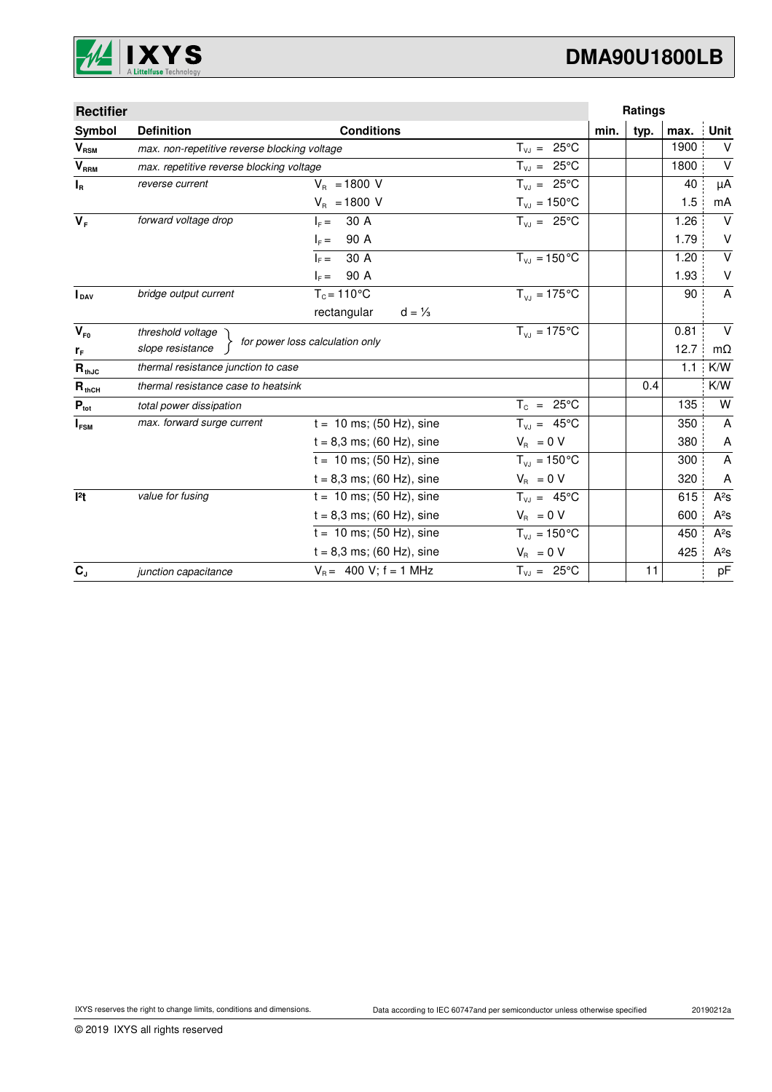

# **DMA90U1800LB**

| <b>Rectifier</b> |                                              |                                  |                         | Ratings |      |      |                         |
|------------------|----------------------------------------------|----------------------------------|-------------------------|---------|------|------|-------------------------|
| Symbol           | <b>Definition</b>                            | <b>Conditions</b>                |                         | min.    | typ. | max. | Unit                    |
| $V_{RSM}$        | max. non-repetitive reverse blocking voltage |                                  | $T_{V,1} = 25^{\circ}C$ |         |      | 1900 | v                       |
| V <sub>RRM</sub> | max. repetitive reverse blocking voltage     |                                  | $T_{V,I} = 25^{\circ}C$ |         |      | 1800 | $\vee$                  |
| $I_R$            | reverse current                              | $V_{B} = 1800 V$                 | $T_{V,I} = 25^{\circ}C$ |         |      | 40   | μA                      |
|                  |                                              | $V_{B} = 1800 V$                 | $T_{VJ} = 150^{\circ}C$ |         |      | 1.5  | mA                      |
| $V_F$            | forward voltage drop                         | 30 A<br>$I_c =$                  | $T_{VJ} = 25^{\circ}C$  |         |      | 1.26 | $\vee$                  |
|                  |                                              | 90 A<br>$I_F =$                  |                         |         |      | 1.79 | $\vee$                  |
|                  |                                              | 30 A<br>$I_{\rm c} =$            | $T_{VJ} = 150 °C$       |         |      | 1.20 | $\overline{\mathsf{v}}$ |
|                  |                                              | 90 A<br>$I_F =$                  |                         |         |      | 1.93 | V                       |
| <b>I</b> DAV     | bridge output current                        | $T_c = 110^{\circ}$ C            | $T_{V1} = 175$ °C       |         |      | 90   | $\mathsf{A}$            |
|                  |                                              | rectangular<br>$d = \frac{1}{3}$ |                         |         |      |      |                         |
| $V_{F0}$         | $T_{V,I} = 175$ °C<br>threshold voltage      |                                  |                         |         |      | 0.81 | $\vee$                  |
| $r_F$            | slope resistance                             | for power loss calculation only  |                         |         |      | 12.7 | $m\Omega$               |
| $R_{thJC}$       | thermal resistance junction to case          |                                  |                         |         |      | 1.1  | K/W                     |
| $R_{thCH}$       | thermal resistance case to heatsink          |                                  |                         |         | 0.4  |      | K/W                     |
| $P_{\text{tot}}$ | total power dissipation                      |                                  | $T_c = 25^{\circ}C$     |         |      | 135  | W                       |
| $I_{FSM}$        | max. forward surge current                   | $t = 10$ ms; (50 Hz), sine       | $T_{V,1} = 45^{\circ}C$ |         |      | 350  | A                       |
|                  |                                              | $t = 8,3$ ms; (60 Hz), sine      | $V_R = 0 V$             |         |      | 380  | A                       |
|                  |                                              | $t = 10$ ms; (50 Hz), sine       | $T_{VJ} = 150^{\circ}C$ |         |      | 300  | A                       |
|                  |                                              | $t = 8,3$ ms; (60 Hz), sine      | $V_{\rm R} = 0 V$       |         |      | 320  | A                       |
| 12t              | value for fusing                             | $t = 10$ ms; (50 Hz), sine       | $T_{V,1} = 45^{\circ}C$ |         |      | 615  | $A^2S$                  |
|                  |                                              | $t = 8,3$ ms; (60 Hz), sine      | $V_R = 0 V$             |         |      | 600  | $A^2S$                  |
|                  |                                              | $t = 10$ ms; (50 Hz), sine       | $T_{VJ} = 150^{\circ}C$ |         |      | 450  | $A^2S$                  |
|                  |                                              | $t = 8,3$ ms; (60 Hz), sine      | $V_{\rm B} = 0 V$       |         |      | 425  | $A^2S$                  |
| $C_{J}$          | junction capacitance                         | $V_B = 400 V$ ; f = 1 MHz        | $T_{VJ} = 25^{\circ}C$  |         | 11   |      | pF                      |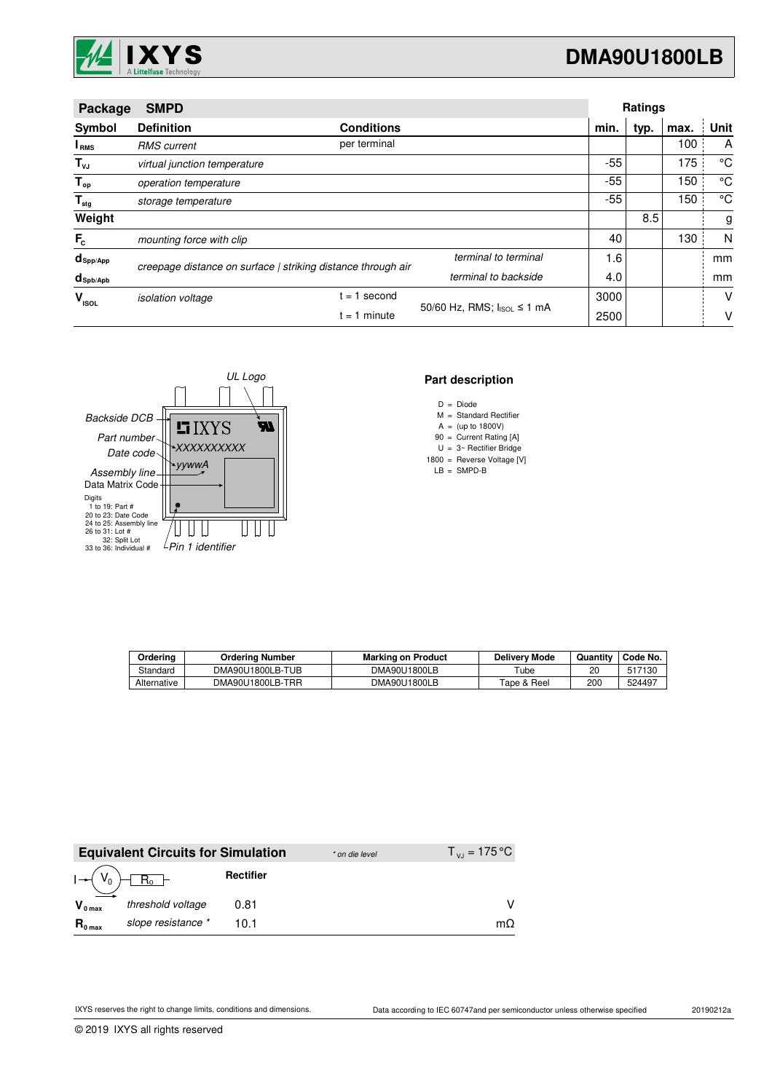

|                                 | <b>SMPD</b><br>Package                                       |                   |                            | Ratings |      |      |             |
|---------------------------------|--------------------------------------------------------------|-------------------|----------------------------|---------|------|------|-------------|
| Symbol                          | <b>Definition</b>                                            | <b>Conditions</b> |                            | min.    | typ. | max. | Unit        |
| I <sub>RMS</sub>                | <b>RMS</b> current                                           | per terminal      |                            |         |      | 100  | A           |
| $T_{\nu J}$                     | virtual junction temperature                                 |                   |                            | -55     |      | 175  | °C          |
| $T_{op}$                        | operation temperature                                        |                   |                            | $-55$   |      | 150  | °C          |
| $\mathsf{T}_{\sf{stg}}$         | storage temperature                                          |                   |                            | -55     |      | 150  | $^{\circ}C$ |
| Weight                          |                                                              |                   |                            |         | 8.5  |      | g           |
| $F_c$                           | mounting force with clip                                     |                   |                            | 40      |      | 130  | N           |
| $d_{\mathsf{Spp/App}}$          | creepage distance on surface   striking distance through air |                   | terminal to terminal       | 1.6     |      |      | mm          |
| $d_{\mathsf{Spb}/\mathsf{Apb}}$ |                                                              |                   | terminal to backside       | 4.0     |      |      | mm          |
| v<br><b>ISOL</b>                | <i>isolation</i> voltage                                     | second<br>$= 1$   | 50/60 Hz, RMS; IsoL ≤ 1 mA | 3000    |      |      | v           |
|                                 |                                                              | $i = 1$ minute    |                            | 2500    |      |      | ۷           |



### **Part description**

- D = Diode
- M = Standard Rectifier
- $A = (up to 1800V)$
- 90 Current Rating [A] =  $U = 3$  Rectifier Bridge
- 1800 = Reverse Voltage [V]
	- LB SMPD-B =

| Ordering    | <b>Ordering Number</b> | <b>Marking on Product</b> | <b>Delivery Mode</b> | Quantity | Code No. |
|-------------|------------------------|---------------------------|----------------------|----------|----------|
| Standard    | DMA90U1800LB-TUB       | DMA90U1800LB              | $\tau$ ube           | 20       | 517130   |
| Alternative | DMA90U1800LB-TRR       | DMA90U1800LB              | Tape & Reel          | 200      | 524497   |

|                       | <b>Equivalent Circuits for Simulation</b> |                  | * on die level | $T_{\rm{v}} = 175 \,^{\circ}\text{C}$ |
|-----------------------|-------------------------------------------|------------------|----------------|---------------------------------------|
| $I \rightarrow (V_0)$ | $R_0 +$                                   | <b>Rectifier</b> |                |                                       |
| $V_{0 \text{ max}}$   | threshold voltage                         | 0.81             |                |                                       |
| $R_{0 \text{ max}}$   | slope resistance *                        | 10.1             |                | mΩ                                    |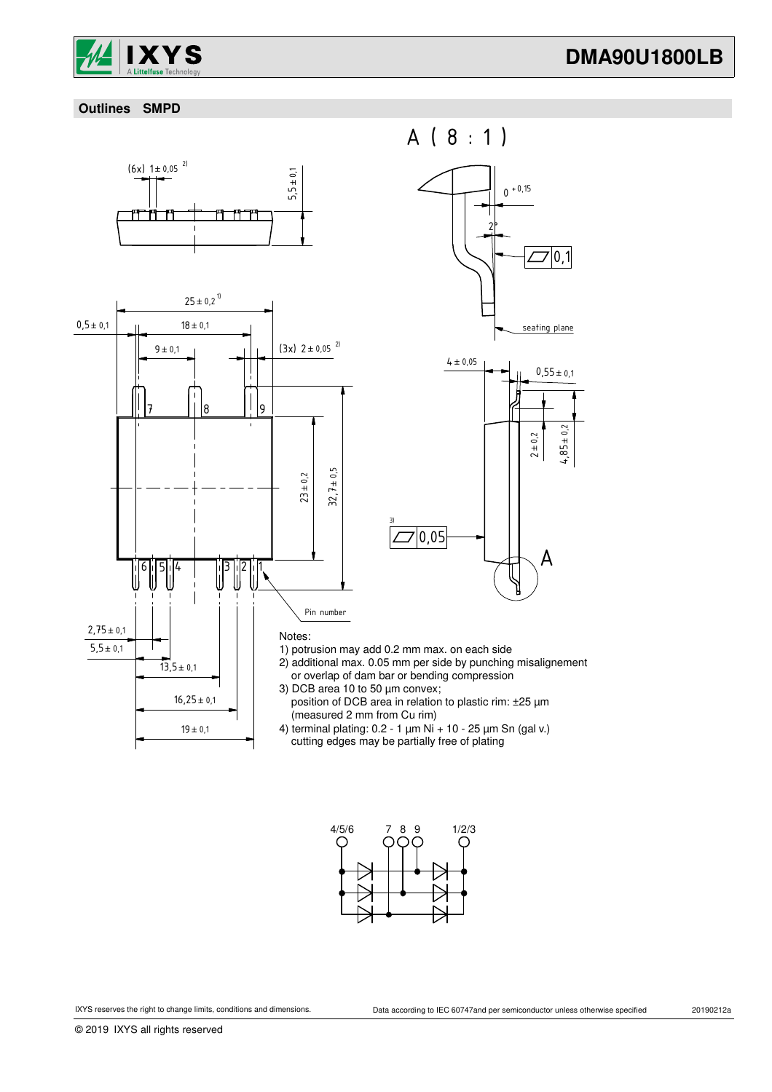

### **Outlines SMPD**





A ( 8 : 1 )



1) potrusion may add 0.2 mm max. on each side

3)

- 2) additional max. 0.05 mm per side by punching misalignement or overlap of dam bar or bending compression
- 3) DCB area 10 to 50 µm convex; position of DCB area in relation to plastic rim: ±25 µm (measured 2 mm from Cu rim)
- 4) terminal plating: 0.2 1 µm Ni + 10 25 µm Sn (gal v.) cutting edges may be partially free of plating